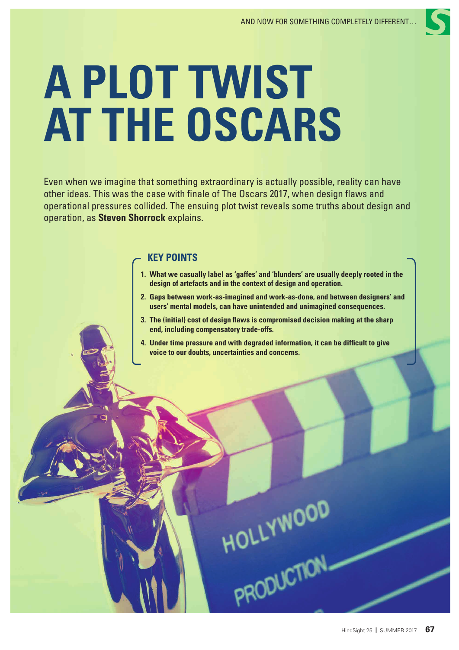# **A PLOT TWIST AT THE OSCARS**

Even when we imagine that something extraordinary is actually possible, reality can have other ideas. This was the case with finale of The Oscars 2017, when design flaws and operational pressures collided. The ensuing plot twist reveals some truths about design and operation, as **Steven Shorrock** explains.

# **KEY POINTS**

- **1. What we casually label as 'gaffes' and 'blunders' are usually deeply rooted in the design of artefacts and in the context of design and operation.**
- **2. Gaps between work-as-imagined and work-as-done, and between designers' and users' mental models, can have unintended and unimagined consequences.**
- **3. The (initial) cost of design flaws is compromised decision making at the sharp end, including compensatory trade-offs.**
- **4. Under time pressure and with degraded information, it can be difficult to give voice to our doubts, uncertainties and concerns.**

PRODUCTION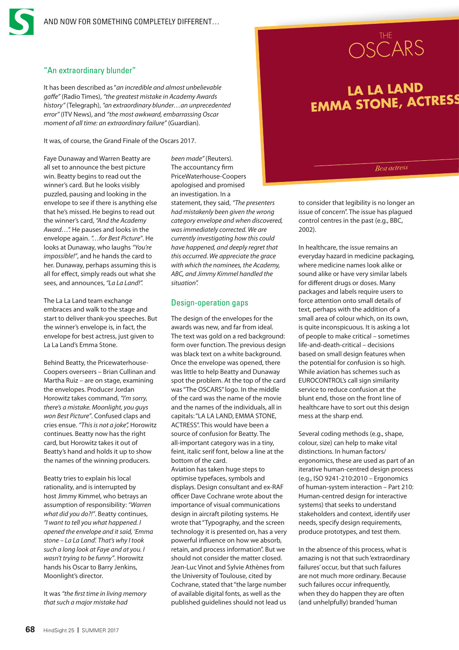# "An extraordinary blunder"

It has been described as "*an incredible and almost unbelievable gaffe"* (Radio Times), *"the greatest mistake in Academy Awards history"* (Telegraph), *"an extraordinary blunder…an unprecedented error"* (ITV News), and *"the most awkward, embarrassing Oscar moment of all time: an extraordinary failure"* (Guardian).

It was, of course, the Grand Finale of the Oscars 2017.

Faye Dunaway and Warren Beatty are all set to announce the best picture win. Beatty begins to read out the winner's card. But he looks visibly puzzled, pausing and looking in the envelope to see if there is anything else that he's missed. He begins to read out the winner's card, *"And the Academy Award…".* He pauses and looks in the envelope again. *"…for Best Picture"*. He looks at Dunaway, who laughs *"You're impossible!"*, and he hands the card to her. Dunaway, perhaps assuming this is all for effect, simply reads out what she sees, and announces, *"La La Land!".*

The La La Land team exchange embraces and walk to the stage and start to deliver thank-you speeches. But the winner's envelope is, in fact, the envelope for best actress, just given to La La Land's Emma Stone.

Behind Beatty, the Pricewaterhouse-Coopers overseers – Brian Cullinan and Martha Ruiz – are on stage, examining the envelopes. Producer Jordan Horowitz takes command, *"I'm sorry, there's a mistake. Moonlight, you guys won Best Picture"*. Confused claps and cries ensue. *"This is not a joke",* Horowitz continues. Beatty now has the right card, but Horowitz takes it out of Beatty's hand and holds it up to show the names of the winning producers.

Beatty tries to explain his local rationality, and is interrupted by host Jimmy Kimmel, who betrays an assumption of responsibility: *"Warren what did you do?!"*. Beatty continues, *"I want to tell you what happened. I opened the envelope and it said, 'Emma stone – La La Land'. That's why I took such a long look at Faye and at you. I wasn't trying to be funny"*. Horowitz hands his Oscar to Barry Jenkins, Moonlight's director.

It was *"the first time in living memory that such a major mistake had* 

*been made"* (Reuters). The accountancy firm PriceWaterhouse-Coopers apologised and promised an investigation. In a statement, they said, *"The presenters had mistakenly been given the wrong category envelope and when discovered, was immediately corrected. We are currently investigating how this could have happened, and deeply regret that this occurred. We appreciate the grace with which the nominees, the Academy, ABC, and Jimmy Kimmel handled the situation".*

# Design-operation gaps

The design of the envelopes for the awards was new, and far from ideal. The text was gold on a red background: form over function. The previous design was black text on a white background. Once the envelope was opened, there was little to help Beatty and Dunaway spot the problem. At the top of the card was "The OSCARS" logo. In the middle of the card was the name of the movie and the names of the individuals, all in capitals: "LA LA LAND, EMMA STONE, ACTRESS". This would have been a source of confusion for Beatty. The all-important category was in a tiny, feint, italic serif font, below a line at the bottom of the card.

Aviation has taken huge steps to optimise typefaces, symbols and displays. Design consultant and ex-RAF officer Dave Cochrane wrote about the importance of visual communications design in aircraft piloting systems. He wrote that "Typography, and the screen technology it is presented on, has a very powerful influence on how we absorb, retain, and process information". But we should not consider the matter closed. Jean-Luc Vinot and Sylvie Athènes from the University of Toulouse, cited by Cochrane, stated that "the large number of available digital fonts, as well as the published guidelines should not lead us



# **LA LA LAND EMMA STONE, ACTRESS**

*Best actress*

to consider that legibility is no longer an issue of concern". The issue has plagued control centres in the past (e.g., BBC, 2002).

In healthcare, the issue remains an everyday hazard in medicine packaging, where medicine names look alike or sound alike or have very similar labels for different drugs or doses. Many packages and labels require users to force attention onto small details of text, perhaps with the addition of a small area of colour which, on its own, is quite inconspicuous. It is asking a lot of people to make critical – sometimes life-and-death-critical – decisions based on small design features when the potential for confusion is so high. While aviation has schemes such as EUROCONTROL's call sign similarity service to reduce confusion at the blunt end, those on the front line of healthcare have to sort out this design mess at the sharp end.

Several coding methods (e.g., shape, colour, size) can help to make vital distinctions. In human factors/ ergonomics, these are used as part of an iterative human-centred design process (e.g., ISO 9241-210:2010 – Ergonomics of human-system interaction – Part 210: Human-centred design for interactive systems) that seeks to understand stakeholders and context, identify user needs, specify design requirements, produce prototypes, and test them.

In the absence of this process, what is amazing is not that such 'extraordinary failures' occur, but that such failures are not much more ordinary. Because such failures occur infrequently, when they do happen they are often (and unhelpfully) branded 'human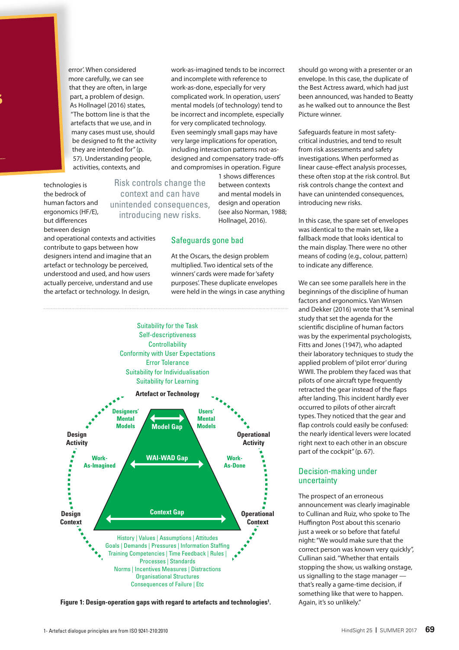error'. When considered more carefully, we can see that they are often, in large part, a problem of design. As Hollnagel (2016) states, "The bottom line is that the artefacts that we use, and in many cases must use, should be designed to fit the activity they are intended for" (p. 57). Understanding people, activities, contexts, and

technologies is the bedrock of human factors and ergonomics (HF/E), but differences between design

**EMMA STONE, ACTRESS**

Risk controls change the context and can have unintended consequences, introducing new risks.

and operational contexts and activities contribute to gaps between how designers intend and imagine that an artefact or technology be perceived, understood and used, and how users actually perceive, understand and use the artefact or technology. In design,



At the Oscars, the design problem multiplied. Two identical sets of the winners' cards were made for 'safety purposes'. These duplicate envelopes were held in the wings in case anything

1 shows differences between contexts and mental models in design and operation (see also Norman, 1988; Hollnagel, 2016).

work-as-imagined tends to be incorrect and incomplete with reference to work-as-done, especially for very complicated work. In operation, users' mental models (of technology) tend to be incorrect and incomplete, especially for very complicated technology. Even seemingly small gaps may have very large implications for operation, including interaction patterns not-asdesigned and compensatory trade-offs and compromises in operation. Figure



**Figure 1: Design-operation gaps with regard to artefacts and technologies<sup>1</sup>. Again, it's so unlikely."** 

should go wrong with a presenter or an envelope. In this case, the duplicate of the Best Actress award, which had just been announced, was handed to Beatty as he walked out to announce the Best Picture winner.

Safeguards feature in most safetycritical industries, and tend to result from risk assessments and safety investigations. When performed as linear cause-effect analysis processes, these often stop at the risk control. But risk controls change the context and have can unintended consequences, introducing new risks.

In this case, the spare set of envelopes was identical to the main set, like a fallback mode that looks identical to the main display. There were no other means of coding (e.g., colour, pattern) to indicate any difference.

We can see some parallels here in the beginnings of the discipline of human factors and ergonomics. Van Winsen and Dekker (2016) wrote that "A seminal study that set the agenda for the scientific discipline of human factors was by the experimental psychologists, Fitts and Jones (1947), who adapted their laboratory techniques to study the applied problem of 'pilot error' during WWII. The problem they faced was that pilots of one aircraft type frequently retracted the gear instead of the flaps after landing. This incident hardly ever occurred to pilots of other aircraft types. They noticed that the gear and flap controls could easily be confused: the nearly identical levers were located right next to each other in an obscure part of the cockpit" (p. 67).

# Decision-making under uncertainty

The prospect of an erroneous announcement was clearly imaginable to Cullinan and Ruiz, who spoke to The Huffington Post about this scenario just a week or so before that fateful night: "We would make sure that the correct person was known very quickly", Cullinan said. "Whether that entails stopping the show, us walking onstage, us signalling to the stage manager that's really a game-time decision, if something like that were to happen.